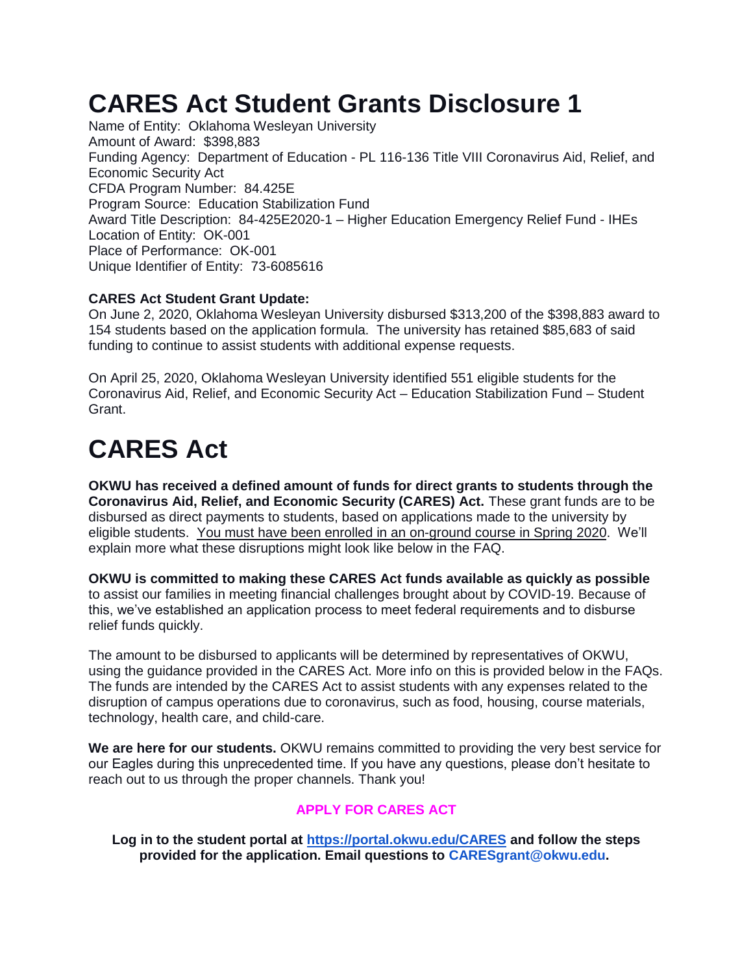## **CARES Act Student Grants Disclosure 1**

Name of Entity: Oklahoma Wesleyan University Amount of Award: \$398,883 Funding Agency: Department of Education - PL 116-136 Title VIII Coronavirus Aid, Relief, and Economic Security Act CFDA Program Number: 84.425E Program Source: Education Stabilization Fund Award Title Description: 84-425E2020-1 – Higher Education Emergency Relief Fund - IHEs Location of Entity: OK-001 Place of Performance: OK-001 Unique Identifier of Entity: 73-6085616

#### **CARES Act Student Grant Update:**

On June 2, 2020, Oklahoma Wesleyan University disbursed \$313,200 of the \$398,883 award to 154 students based on the application formula. The university has retained \$85,683 of said funding to continue to assist students with additional expense requests.

On April 25, 2020, Oklahoma Wesleyan University identified 551 eligible students for the Coronavirus Aid, Relief, and Economic Security Act – Education Stabilization Fund – Student Grant.

# **CARES Act**

**OKWU has received a defined amount of funds for direct grants to students through the Coronavirus Aid, Relief, and Economic Security (CARES) Act.** These grant funds are to be disbursed as direct payments to students, based on applications made to the university by eligible students. You must have been enrolled in an on-ground course in Spring 2020. We'll explain more what these disruptions might look like below in the FAQ.

**OKWU is committed to making these CARES Act funds available as quickly as possible** to assist our families in meeting financial challenges brought about by COVID-19. Because of this, we've established an application process to meet federal requirements and to disburse relief funds quickly.

The amount to be disbursed to applicants will be determined by representatives of OKWU, using the guidance provided in the CARES Act. More info on this is provided below in the FAQs. The funds are intended by the CARES Act to assist students with any expenses related to the disruption of campus operations due to coronavirus, such as food, housing, course materials, technology, health care, and child-care.

**We are here for our students.** OKWU remains committed to providing the very best service for our Eagles during this unprecedented time. If you have any questions, please don't hesitate to reach out to us through the proper channels. Thank you!

#### **APPLY FOR CARES ACT**

**Log in to the student portal at<https://portal.okwu.edu/CARES> and follow the steps provided for the application. Email questions to CARESgrant@okwu.edu.**